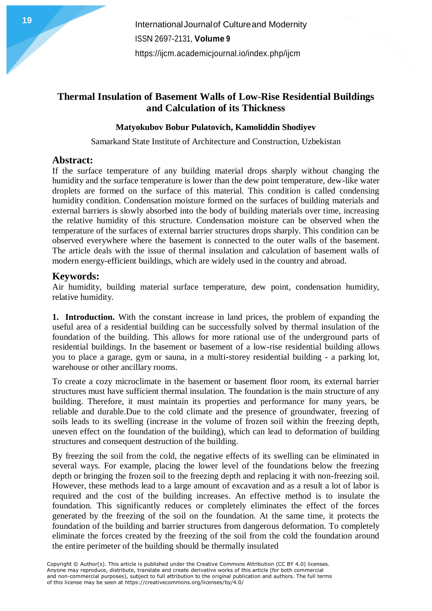# **Thermal Insulation of Basement Walls of Low-Rise Residential Buildings and Calculation of its Thickness**

### **Matyokubov Bobur Pulatovich, Kamoliddin Shodiyev**

Samarkand State Institute of Architecture and Construction, Uzbekistan

## **Abstract:**

If the surface temperature of any building material drops sharply without changing the humidity and the surface temperature is lower than the dew point temperature, dew-like water droplets are formed on the surface of this material. This condition is called condensing humidity condition. Condensation moisture formed on the surfaces of building materials and external barriers is slowly absorbed into the body of building materials over time, increasing the relative humidity of this structure. Condensation moisture can be observed when the temperature of the surfaces of external barrier structures drops sharply. This condition can be observed everywhere where the basement is connected to the outer walls of the basement. The article deals with the issue of thermal insulation and calculation of basement walls of modern energy-efficient buildings, which are widely used in the country and abroad.

# **Keywords:**

Air humidity, building material surface temperature, dew point, condensation humidity, relative humidity.

**1. Introduction.** With the constant increase in land prices, the problem of expanding the useful area of a residential building can be successfully solved by thermal insulation of the foundation of the building. This allows for more rational use of the underground parts of residential buildings. In the basement or basement of a low-rise residential building allows you to place a garage, gym or sauna, in a multi-storey residential building - a parking lot, warehouse or other ancillary rooms.

To create a cozy microclimate in the basement or basement floor room, its external barrier structures must have sufficient thermal insulation. The foundation is the main structure of any building. Therefore, it must maintain its properties and performance for many years, be reliable and durable.Due to the cold climate and the presence of groundwater, freezing of soils leads to its swelling (increase in the volume of frozen soil within the freezing depth, uneven effect on the foundation of the building), which can lead to deformation of building structures and consequent destruction of the building.

By freezing the soil from the cold, the negative effects of its swelling can be eliminated in several ways. For example, placing the lower level of the foundations below the freezing depth or bringing the frozen soil to the freezing depth and replacing it with non-freezing soil. However, these methods lead to a large amount of excavation and as a result a lot of labor is required and the cost of the building increases. An effective method is to insulate the foundation. This significantly reduces or completely eliminates the effect of the forces generated by the freezing of the soil on the foundation. At the same time, it protects the foundation of the building and barrier structures from dangerous deformation. To completely eliminate the forces created by the freezing of the soil from the cold the foundation around the entire perimeter of the building should be thermally insulated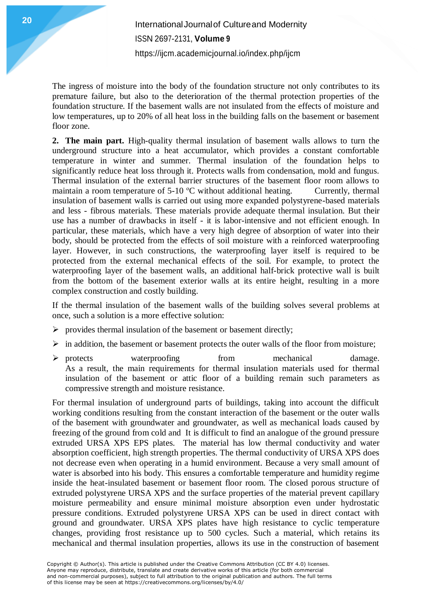The ingress of moisture into the body of the foundation structure not only contributes to its premature failure, but also to the deterioration of the thermal protection properties of the foundation structure. If the basement walls are not insulated from the effects of moisture and low temperatures, up to 20% of all heat loss in the building falls on the basement or basement floor zone.

**2. The main part.** High-quality thermal insulation of basement walls allows to turn the underground structure into a heat accumulator, which provides a constant comfortable temperature in winter and summer. Thermal insulation of the foundation helps to significantly reduce heat loss through it. Protects walls from condensation, mold and fungus. Thermal insulation of the external barrier structures of the basement floor room allows to maintain a room temperature of  $5{\text -}10$  °C without additional heating. Currently, thermal insulation of basement walls is carried out using more expanded polystyrene-based materials and less - fibrous materials. These materials provide adequate thermal insulation. But their use has a number of drawbacks in itself - it is labor-intensive and not efficient enough. In particular, these materials, which have a very high degree of absorption of water into their body, should be protected from the effects of soil moisture with a reinforced waterproofing layer. However, in such constructions, the waterproofing layer itself is required to be protected from the external mechanical effects of the soil. For example, to protect the waterproofing layer of the basement walls, an additional half-brick protective wall is built from the bottom of the basement exterior walls at its entire height, resulting in a more complex construction and costly building.

If the thermal insulation of the basement walls of the building solves several problems at once, such a solution is a more effective solution:

- $\triangleright$  provides thermal insulation of the basement or basement directly;
- $\triangleright$  in addition, the basement or basement protects the outer walls of the floor from moisture;
- $\triangleright$  protects waterproofing from mechanical damage. As a result, the main requirements for thermal insulation materials used for thermal insulation of the basement or attic floor of a building remain such parameters as compressive strength and moisture resistance.

For thermal insulation of underground parts of buildings, taking into account the difficult working conditions resulting from the constant interaction of the basement or the outer walls of the basement with groundwater and groundwater, as well as mechanical loads caused by freezing of the ground from cold and It is difficult to find an analogue of the ground pressure extruded URSA XPS EPS plates. The material has low thermal conductivity and water absorption coefficient, high strength properties. The thermal conductivity of URSA XPS does not decrease even when operating in a humid environment. Because a very small amount of water is absorbed into his body. This ensures a comfortable temperature and humidity regime inside the heat-insulated basement or basement floor room. The closed porous structure of extruded polystyrene URSA XPS and the surface properties of the material prevent capillary moisture permeability and ensure minimal moisture absorption even under hydrostatic pressure conditions. Extruded polystyrene URSA XPS can be used in direct contact with ground and groundwater. URSA XPS plates have high resistance to cyclic temperature changes, providing frost resistance up to 500 cycles. Such a material, which retains its mechanical and thermal insulation properties, allows its use in the construction of basement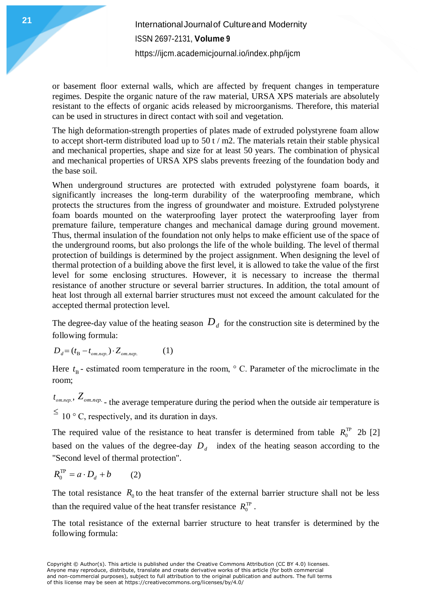or basement floor external walls, which are affected by frequent changes in temperature regimes. Despite the organic nature of the raw material, URSA XPS materials are absolutely resistant to the effects of organic acids released by microorganisms. Therefore, this material can be used in structures in direct contact with soil and vegetation.

The high deformation-strength properties of plates made of extruded polystyrene foam allow to accept short-term distributed load up to 50 t / m2. The materials retain their stable physical and mechanical properties, shape and size for at least 50 years. The combination of physical and mechanical properties of URSA XPS slabs prevents freezing of the foundation body and the base soil.

When underground structures are protected with extruded polystyrene foam boards, it significantly increases the long-term durability of the waterproofing membrane, which protects the structures from the ingress of groundwater and moisture. Extruded polystyrene foam boards mounted on the waterproofing layer protect the waterproofing layer from premature failure, temperature changes and mechanical damage during ground movement. Thus, thermal insulation of the foundation not only helps to make efficient use of the space of the underground rooms, but also prolongs the life of the whole building. The level of thermal protection of buildings is determined by the project assignment. When designing the level of thermal protection of a building above the first level, it is allowed to take the value of the first level for some enclosing structures. However, it is necessary to increase the thermal resistance of another structure or several barrier structures. In addition, the total amount of heat lost through all external barrier structures must not exceed the amount calculated for the accepted thermal protection level.

The degree-day value of the heating season  $D_d$  for the construction site is determined by the following formula:

$$
D_d = (t_B - t_{om.nep.}) \cdot Z_{om.nep.}
$$
 (1)

Here  $t<sub>B</sub>$  - estimated room temperature in the room,  $\circ$  C. Parameter of the microclimate in the room;

, *от*.*пер*. *<sup>t</sup> <sup>Z</sup>от*.*пер*. - the average temperature during the period when the outside air temperature is  $\leq 10$  ° C, respectively, and its duration in days.

The required value of the resistance to heat transfer is determined from table  $R_0^{\text{TP}}$  2b [2] based on the values of the degree-day  $D_d$  index of the heating season according to the "Second level of thermal protection".

$$
R_0^{\text{TP}} = a \cdot D_d + b \tag{2}
$$

The total resistance  $R_0$  to the heat transfer of the external barrier structure shall not be less than the required value of the heat transfer resistance  $R_0^{\text{TP}}$ .

The total resistance of the external barrier structure to heat transfer is determined by the following formula: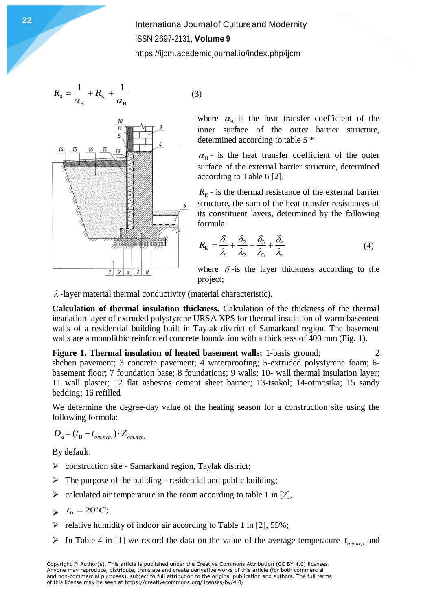$$
R_0 = \frac{1}{\alpha_{\rm B}} + R_{\rm K} + \frac{1}{\alpha_{\rm H}}\tag{3}
$$



where  $\alpha_{\rm B}$ -is the heat transfer coefficient of the inner surface of the outer barrier structure, determined according to table 5 \*

 $\alpha_{\text{H}}$ - is the heat transfer coefficient of the outer surface of the external barrier structure, determined according to Table 6 [2].

 $R_{K}$  - is the thermal resistance of the external barrier structure, the sum of the heat transfer resistances of its constituent layers, determined by the following formula:

$$
R_{\rm K} = \frac{\delta_1}{\lambda_1} + \frac{\delta_2}{\lambda_2} + \frac{\delta_3}{\lambda_3} + \frac{\delta_4}{\lambda_4} \tag{4}
$$

where  $\delta$ -is the layer thickness according to the project;

 $\lambda$ -layer material thermal conductivity (material characteristic).

**Calculation of thermal insulation thickness.** Calculation of the thickness of the thermal insulation layer of extruded polystyrene URSA XPS for thermal insulation of warm basement walls of a residential building built in Taylak district of Samarkand region. The basement walls are a monolithic reinforced concrete foundation with a thickness of 400 mm (Fig. 1).

**Figure 1. Thermal insulation of heated basement walls:** 1-basis ground; 2 sheben pavement; 3 concrete pavement; 4 waterproofing; 5-extruded polystyrene foam; 6 basement floor; 7 foundation base; 8 foundations; 9 walls; 10- wall thermal insulation layer; 11 wall plaster; 12 flat asbestos cement sheet barrier; 13-tsokol; 14-otmostka; 15 sandy bedding; 16 refilled

We determine the degree-day value of the heating season for a construction site using the following formula:

$$
D_d = (t_B - t_{om.nep.}) \cdot Z_{om.nep.}
$$

By default:

- $\triangleright$  construction site Samarkand region, Taylak district;
- $\triangleright$  The purpose of the building residential and public building;
- $\triangleright$  calculated air temperature in the room according to table 1 in [2],

$$
\leftarrow t_{\rm B} = 20^{\circ}C;
$$

- $\triangleright$  relative humidity of indoor air according to Table 1 in [2], 55%;
- In Table 4 in [1] we record the data on the value of the average temperature  $t_{om.nep.}$  and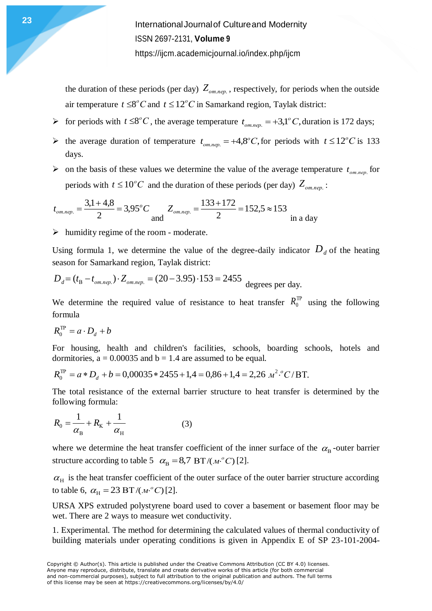> the duration of these periods (per day)  $Z_{om.nep}$ , respectively, for periods when the outside air temperature  $t \leq 8^{\circ}C$  and  $t \leq 12^{\circ}C$  in Samarkand region, Taylak district:

- For periods with  $t \leq 8^{\circ}C$ , the average temperature  $t_{om. nev} = +3.1^{\circ}C$ ,  $\sigma_{\text{on.}nep.}$  = +3,1<sup>o</sup> C, duration is 172 days;
- ightharpoonup temperature  $t_{om.nep.} = +4.8$ °C,  $f_{om.nep.} = +4,8^{\circ}C$ , for periods with  $t \leq 12^{\circ}C$  is 133 days.
- $\triangleright$  on the basis of these values we determine the value of the average temperature  $t_{om.nep.}$  for periods with  $t \leq 10^{\circ}C$  and the duration of these periods (per day)  $Z_{om.nep}$ :

$$
t_{om.nep.} = \frac{3,1+4,8}{2} = 3,95^{\circ}C
$$
 and  $Z_{om.nep.} = \frac{133+172}{2} = 152,5 \approx 153$  in a day

 $\triangleright$  humidity regime of the room - moderate.

Using formula 1, we determine the value of the degree-daily indicator  $D_d$  of the heating season for Samarkand region, Taylak district:

$$
D_d = (t_B - t_{om.nep.}) \cdot Z_{om.nep.} = (20 - 3.95) \cdot 153 = 2455
$$
 degrees per day.

We determine the required value of resistance to heat transfer  $R_0^{\text{TP}}$  using the following formula

$$
R_0^{\text{TP}} = a \cdot D_d + b
$$

For housing, health and children's facilities, schools, boarding schools, hotels and dormitories,  $a = 0.00035$  and  $b = 1.4$  are assumed to be equal.

$$
R_0^{\text{TP}} = a * D_d + b = 0,00035 * 2455 + 1,4 = 0,86 + 1,4 = 2,26 \text{ } m^2 \cdot {^oC} / {^vD}.
$$

The total resistance of the external barrier structure to heat transfer is determined by the following formula:

$$
R_0 = \frac{1}{\alpha_{\rm B}} + R_{\rm K} + \frac{1}{\alpha_{\rm H}}\tag{3}
$$

where we determine the heat transfer coefficient of the inner surface of the  $\alpha_{\rm B}$ -outer barrier structure according to table 5  $\alpha_{\rm B} = 8.7$  BT/( $M^{\circ}$ C) [2].

 $\alpha_{\rm H}$  is the heat transfer coefficient of the outer surface of the outer barrier structure according to table 6,  $\alpha_{\rm H} = 23 \,\rm BT/(m^o C)[2]$ .

URSA XPS extruded polystyrene board used to cover a basement or basement floor may be wet. There are 2 ways to measure wet conductivity.

1. Experimental. The method for determining the calculated values of thermal conductivity of building materials under operating conditions is given in Appendix E of SP 23-101-2004-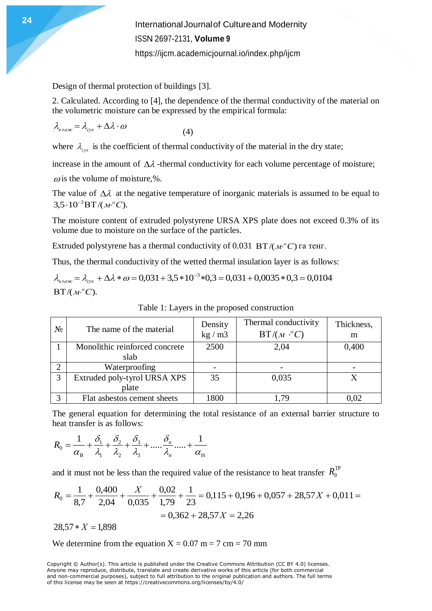Design of thermal protection of buildings [3].

2. Calculated. According to [4], the dependence of the thermal conductivity of the material on the volumetric moisture can be expressed by the empirical formula:

$$
\lambda_{\text{g},\text{a.sc}} = \lambda_{\text{c}yx} + \Delta\lambda \cdot \omega \tag{4}
$$

where  $\lambda_{\text{c}yx}$  is the coefficient of thermal conductivity of the material in the dry state;

increase in the amount of  $\Delta \lambda$ -thermal conductivity for each volume percentage of moisture;

 $\omega$  is the volume of moisture,%.

The value of  $\Delta \lambda$  at the negative temperature of inorganic materials is assumed to be equal to 3,5 · 10<sup>-3</sup>ВТ /(м<sup>.</sup>°C).

The moisture content of extruded polystyrene URSA XPS plate does not exceed 0.3% of its volume due to moisture on the surface of the particles.

Extruded polystyrene has a thermal conductivity of 0.031 BT/ $(\mathcal{M}^{\circ}C)$  га тенг.

Thus, the thermal conductivity of the wetted thermal insulation layer is as follows:

 $\lambda_{\text{\tiny{g,na\!\gg\!c}}} = \lambda_{\text{\tiny{c}\!\times\!x}} + \Delta\lambda * \omega = 0.031 + 3.5 * 10^{-3} * 0.3 = 0.031 + 0.0035 * 0.3 = 0.0104$  $BT/(M<sup>o</sup>C).$ 

| $N_2$ | The name of the material               | Density<br>kg/m3 | Thermal conductivity<br>$BT/(M \cdot ^{\circ}C)$ | Thickness,<br>m |
|-------|----------------------------------------|------------------|--------------------------------------------------|-----------------|
|       | Monolithic reinforced concrete<br>slab | 2500             | 2,04                                             | 0,400           |
|       | Waterproofing                          |                  |                                                  |                 |
| 3     | Extruded poly-tyrol URSA XPS           | 35               | 0,035                                            |                 |
|       | plate                                  |                  |                                                  |                 |
| 3     | Flat asbestos cement sheets            | 1800             | - 79                                             |                 |

Table 1: Layers in the proposed construction

The general equation for determining the total resistance of an external barrier structure to heat transfer is as follows:

$$
R_0 = \frac{1}{\alpha_{\rm B}} + \frac{\delta_1}{\lambda_1} + \frac{\delta_2}{\lambda_2} + \frac{\delta_3}{\lambda_3} + \dots + \frac{\delta_n}{\lambda_n} + \dots + \frac{1}{\alpha_{\rm H}}
$$

and it must not be less than the required value of the resistance to heat transfer  $R_0^{\text{TF}}$ 

$$
R_0 = \frac{1}{8,7} + \frac{0,400}{2,04} + \frac{X}{0,035} + \frac{0,02}{1,79} + \frac{1}{23} = 0,115 + 0,196 + 0,057 + 28,57X + 0,011 = 0,362 + 28,57X = 2,26
$$

 $28.57 * X = 1,898$ 

We determine from the equation  $X = 0.07$  m = 7 cm = 70 mm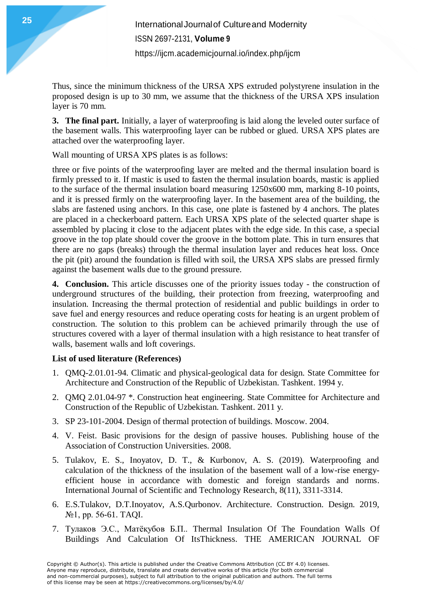Thus, since the minimum thickness of the URSA XPS extruded polystyrene insulation in the proposed design is up to 30 mm, we assume that the thickness of the URSA XPS insulation layer is 70 mm.

**3. The final part.** Initially, a layer of waterproofing is laid along the leveled outer surface of the basement walls. This waterproofing layer can be rubbed or glued. URSA XPS plates are attached over the waterproofing layer.

Wall mounting of URSA XPS plates is as follows:

three or five points of the waterproofing layer are melted and the thermal insulation board is firmly pressed to it. If mastic is used to fasten the thermal insulation boards, mastic is applied to the surface of the thermal insulation board measuring 1250x600 mm, marking 8-10 points, and it is pressed firmly on the waterproofing layer. In the basement area of the building, the slabs are fastened using anchors. In this case, one plate is fastened by 4 anchors. The plates are placed in a checkerboard pattern. Each URSA XPS plate of the selected quarter shape is assembled by placing it close to the adjacent plates with the edge side. In this case, a special groove in the top plate should cover the groove in the bottom plate. This in turn ensures that there are no gaps (breaks) through the thermal insulation layer and reduces heat loss. Once the pit (pit) around the foundation is filled with soil, the URSA XPS slabs are pressed firmly against the basement walls due to the ground pressure.

**4. Conclusion.** This article discusses one of the priority issues today - the construction of underground structures of the building, their protection from freezing, waterproofing and insulation. Increasing the thermal protection of residential and public buildings in order to save fuel and energy resources and reduce operating costs for heating is an urgent problem of construction. The solution to this problem can be achieved primarily through the use of structures covered with a layer of thermal insulation with a high resistance to heat transfer of walls, basement walls and loft coverings.

### **List of used literature (References)**

- 1. QMQ-2.01.01-94. Climatic and physical-geological data for design. State Committee for Architecture and Construction of the Republic of Uzbekistan. Tashkent. 1994 y.
- 2. QMQ 2.01.04-97 \*. Construction heat engineering. State Committee for Architecture and Construction of the Republic of Uzbekistan. Tashkent. 2011 y.
- 3. SP 23-101-2004. Design of thermal protection of buildings. Moscow. 2004.
- 4. V. Feist. Basic provisions for the design of passive houses. Publishing house of the Association of Construction Universities. 2008.
- 5. Tulakov, E. S., Inoyatov, D. T., & Kurbonov, A. S. (2019). Waterproofing and calculation of the thickness of the insulation of the basement wall of a low-rise energyefficient house in accordance with domestic and foreign standards and norms. International Journal of Scientific and Technology Research, 8(11), 3311-3314.
- 6. E.S.Tulakov, D.T.Inoyatov, A.S.Qurbonov. Architecture. Construction. Design. 2019, №1, pp. 56-61. TAQI.
- 7. Тулаков Э.С., Матёқубов Б.П.. Thermal Insulation Of The Foundation Walls Of Buildings And Calculation Of ItsThickness. THE AMERICAN JOURNAL OF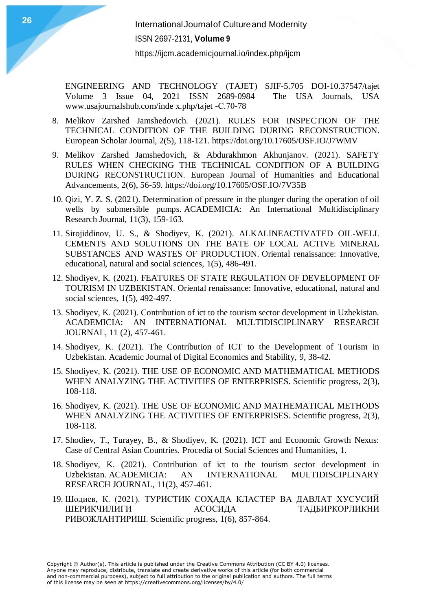ENGINEERING AND TECHNOLOGY (TAJET) SJIF-5.705 DOI-10.37547/tajet Volume 3 Issue 04, 2021 ISSN 2689-0984 The USA Journals, USA www.usajournalshub.com/inde x.php/tajet -С.70-78

- 8. Melikov Zarshed Jamshedovich. (2021). RULES FOR INSPECTION OF THE TECHNICAL CONDITION OF THE BUILDING DURING RECONSTRUCTION. European Scholar Journal, 2(5), 118-121. https://doi.org/10.17605/OSF.IO/J7WMV
- 9. Melikov Zarshed Jamshedovich, & Abdurakhmon Akhunjanov. (2021). SAFETY RULES WHEN CHECKING THE TECHNICAL CONDITION OF A BUILDING DURING RECONSTRUCTION. European Journal of Humanities and Educational Advancements, 2(6), 56-59. https://doi.org/10.17605/OSF.IO/7V35B
- 10. Qizi, Y. Z. S. (2021). Determination of pressure in the plunger during the operation of oil wells by submersible pumps. ACADEMICIA: An International Multidisciplinary Research Journal, 11(3), 159-163.
- 11. Sirojiddinov, U. S., & Shodiyev, K. (2021). ALKALINEACTIVATED OIL-WELL CEMENTS AND SOLUTIONS ON THE BATE OF LOCAL ACTIVE MINERAL SUBSTANCES AND WASTES OF PRODUCTION. Oriental renaissance: Innovative, educational, natural and social sciences, 1(5), 486-491.
- 12. Shodiyev, K. (2021). FEATURES OF STATE REGULATION OF DEVELOPMENT OF TOURISM IN UZBEKISTAN. Oriental renaissance: Innovative, educational, natural and social sciences, 1(5), 492-497.
- 13. Shodiyev, K. (2021). Contribution of ict to the tourism sector development in Uzbekistan. ACADEMICIA: AN INTERNATIONAL MULTIDISCIPLINARY RESEARCH JOURNAL, 11 (2), 457-461.
- 14. Shodiyev, K. (2021). The Contribution of ICT to the Development of Tourism in Uzbekistan. Academic Journal of Digital Economics and Stability, 9, 38-42.
- 15. Shodiyev, K. (2021). THE USE OF ECONOMIC AND MATHEMATICAL METHODS WHEN ANALYZING THE ACTIVITIES OF ENTERPRISES. Scientific progress, 2(3), 108-118.
- 16. Shodiyev, K. (2021). THE USE OF ECONOMIC AND MATHEMATICAL METHODS WHEN ANALYZING THE ACTIVITIES OF ENTERPRISES. Scientific progress, 2(3), 108-118.
- 17. Shodiev, T., Turayey, B., & Shodiyev, K. (2021). ICT and Economic Growth Nexus: Case of Central Asian Countries. Procedia of Social Sciences and Humanities, 1.
- 18. Shodiyev, K. (2021). Contribution of ict to the tourism sector development in Uzbekistan. ACADEMICIA: AN INTERNATIONAL MULTIDISCIPLINARY RESEARCH JOURNAL, 11(2), 457-461.
- 19. Шодиев, К. (2021). ТУРИСТИК СОҲАДА КЛАСТЕР ВА ДАВЛАТ ХУСУСИЙ ШЕРИКЧИЛИГИ АСОСИДА ТАДБИРКОРЛИКНИ РИВОЖЛАНТИРИШ. Scientific progress, 1(6), 857-864.